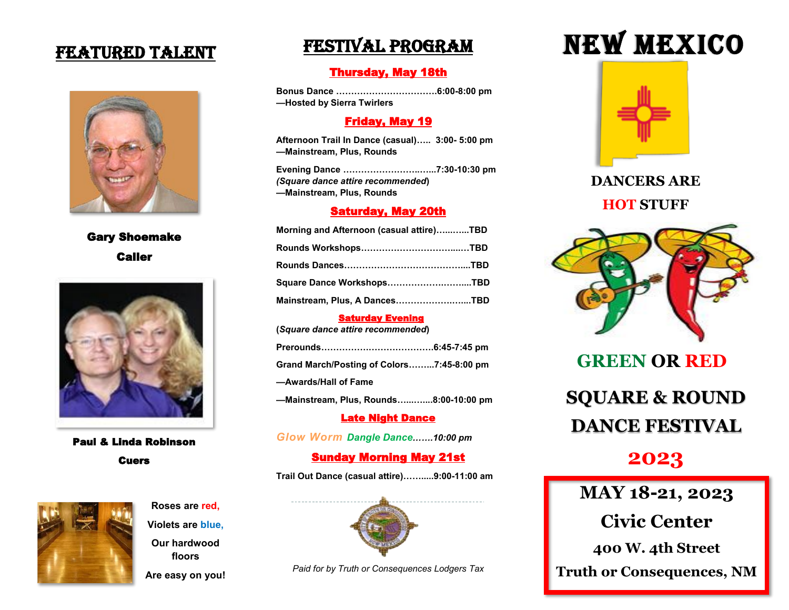### FEATURED TALENT



Gary Shoemake Caller



Paul & Linda Robinson Cuers



**Roses are red, Violets are blue,**

**Our hardwood floors** 

**Are easy on you!**

## Festival Program

#### Thursday, May 18th

**Bonus Dance …………………………….6:00-8:00 pm —Hosted by Sierra Twirlers**

#### Friday, May 19

**Afternoon Trail In Dance (casual)….. 3:00- 5:00 pm —Mainstream, Plus, Rounds**

**Evening Dance ……………………..…...7:30-10:30 pm**  *(Square dance attire recommended***) —Mainstream, Plus, Rounds**

#### Saturday, May 20th

| Morning and Afternoon (casual attire)TBD |  |
|------------------------------------------|--|
| Rounds Workshops………………………………TBD          |  |
|                                          |  |
| Square Dance WorkshopsTBD                |  |
| Mainstream, Plus, A DancesTBD            |  |

#### Saturday Evening

**(***Square dance attire recommended***)** 

| Grand March/Posting of Colors7:45-8:00 pm |  |
|-------------------------------------------|--|
| -Awards/Hall of Fame                      |  |
| —Mainstream. Plus. Rounds8:00-10:00 pm    |  |

Late Night Dance

*Glow Worm Dangle Dance…….10:00 pm*

#### Sunday Morning May 21st

**Trail Out Dance (casual attire)…….....9:00-11:00 am**



*Paid for by Truth or Consequences Lodgers Tax*

# NEW MEXICO



**DANCERS ARE HOT STUFF**



**GREEN OR RED SQUARE & ROUND DANCE FESTIVAL**

## **2023**

**MAY 18-21, 2023**

**Civic Center**

**400 W. 4th Street**

**Truth or Consequences, NM**